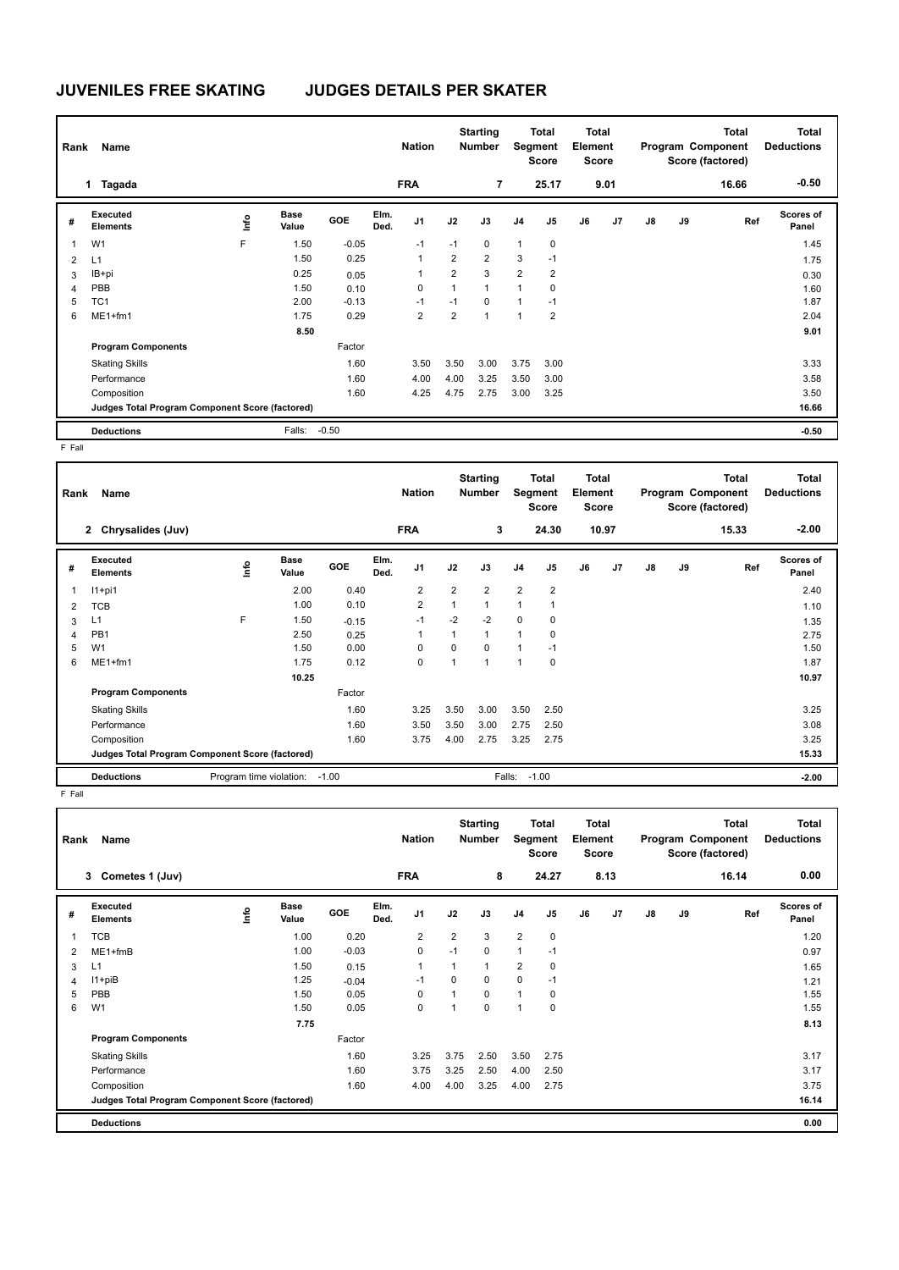## **JUVENILES FREE SKATING JUDGES DETAILS PER SKATER**

| Rank | Name                                            |      |                      |            |              | <b>Nation</b>  |                | <b>Starting</b><br><b>Number</b> | Segment        | Total<br><b>Score</b> | <b>Total</b><br>Element<br><b>Score</b> |      |               |    | <b>Total</b><br>Program Component<br>Score (factored) | <b>Total</b><br><b>Deductions</b> |
|------|-------------------------------------------------|------|----------------------|------------|--------------|----------------|----------------|----------------------------------|----------------|-----------------------|-----------------------------------------|------|---------------|----|-------------------------------------------------------|-----------------------------------|
|      | Tagada<br>$\mathbf 1$                           |      |                      |            |              | <b>FRA</b>     |                | 7                                |                | 25.17                 |                                         | 9.01 |               |    | 16.66                                                 | $-0.50$                           |
| #    | Executed<br><b>Elements</b>                     | ١nf٥ | <b>Base</b><br>Value | <b>GOE</b> | Elm.<br>Ded. | J <sub>1</sub> | J2             | J3                               | J <sub>4</sub> | J <sub>5</sub>        | J6                                      | J7   | $\mathsf{J}8$ | J9 | Ref                                                   | <b>Scores of</b><br>Panel         |
| 1    | W <sub>1</sub>                                  | F    | 1.50                 | $-0.05$    |              | $-1$           | $-1$           | $\mathbf 0$                      | 1              | $\pmb{0}$             |                                         |      |               |    |                                                       | 1.45                              |
| 2    | L1                                              |      | 1.50                 | 0.25       |              | 1              | $\overline{2}$ | $\overline{2}$                   | 3              | $-1$                  |                                         |      |               |    |                                                       | 1.75                              |
| 3    | IB+pi                                           |      | 0.25                 | 0.05       |              | 1              | $\overline{2}$ | 3                                | $\overline{2}$ | $\overline{2}$        |                                         |      |               |    |                                                       | 0.30                              |
| 4    | PBB                                             |      | 1.50                 | 0.10       |              | 0              | 1              | 1                                | $\overline{ }$ | 0                     |                                         |      |               |    |                                                       | 1.60                              |
| 5    | TC <sub>1</sub>                                 |      | 2.00                 | $-0.13$    |              | $-1$           | $-1$           | 0                                |                | $-1$                  |                                         |      |               |    |                                                       | 1.87                              |
| 6    | ME1+fm1                                         |      | 1.75                 | 0.29       |              | $\overline{2}$ | $\overline{2}$ | $\overline{1}$                   |                | $\overline{2}$        |                                         |      |               |    |                                                       | 2.04                              |
|      |                                                 |      | 8.50                 |            |              |                |                |                                  |                |                       |                                         |      |               |    |                                                       | 9.01                              |
|      | <b>Program Components</b>                       |      |                      | Factor     |              |                |                |                                  |                |                       |                                         |      |               |    |                                                       |                                   |
|      | <b>Skating Skills</b>                           |      |                      | 1.60       |              | 3.50           | 3.50           | 3.00                             | 3.75           | 3.00                  |                                         |      |               |    |                                                       | 3.33                              |
|      | Performance                                     |      |                      | 1.60       |              | 4.00           | 4.00           | 3.25                             | 3.50           | 3.00                  |                                         |      |               |    |                                                       | 3.58                              |
|      | Composition                                     |      |                      | 1.60       |              | 4.25           | 4.75           | 2.75                             | 3.00           | 3.25                  |                                         |      |               |    |                                                       | 3.50                              |
|      | Judges Total Program Component Score (factored) |      |                      |            |              |                |                |                                  |                |                       |                                         |      |               |    |                                                       | 16.66                             |
|      | <b>Deductions</b>                               |      | Falls:               | $-0.50$    |              |                |                |                                  |                |                       |                                         |      |               |    |                                                       | $-0.50$                           |

F Fall

| Rank | Name                                            |                               |                      |            |              | <b>Nation</b>  |                | <b>Starting</b><br><b>Number</b> |                | <b>Total</b><br>Segment<br><b>Score</b> | Total<br>Element<br><b>Score</b> |       |    |    | <b>Total</b><br>Program Component<br>Score (factored) | <b>Total</b><br><b>Deductions</b> |
|------|-------------------------------------------------|-------------------------------|----------------------|------------|--------------|----------------|----------------|----------------------------------|----------------|-----------------------------------------|----------------------------------|-------|----|----|-------------------------------------------------------|-----------------------------------|
|      | 2 Chrysalides (Juv)                             |                               |                      |            |              | <b>FRA</b>     |                | 3                                |                | 24.30                                   |                                  | 10.97 |    |    | 15.33                                                 | $-2.00$                           |
| #    | Executed<br><b>Elements</b>                     | lnfo                          | <b>Base</b><br>Value | <b>GOE</b> | Elm.<br>Ded. | J <sub>1</sub> | J2             | J3                               | J <sub>4</sub> | J <sub>5</sub>                          | J6                               | J7    | J8 | J9 | Ref                                                   | Scores of<br>Panel                |
|      | $11+pi1$                                        |                               | 2.00                 | 0.40       |              | $\overline{2}$ | $\overline{2}$ | $\overline{2}$                   | $\overline{2}$ | $\overline{2}$                          |                                  |       |    |    |                                                       | 2.40                              |
| 2    | <b>TCB</b>                                      |                               | 1.00                 | 0.10       |              | $\overline{2}$ | 1              | $\mathbf{1}$                     | 1              | $\mathbf{1}$                            |                                  |       |    |    |                                                       | 1.10                              |
| 3    | L1                                              | F                             | 1.50                 | $-0.15$    |              | $-1$           | $-2$           | $-2$                             | 0              | 0                                       |                                  |       |    |    |                                                       | 1.35                              |
| 4    | PB <sub>1</sub>                                 |                               | 2.50                 | 0.25       |              | 1              | 1              | $\mathbf{1}$                     | 1              | 0                                       |                                  |       |    |    |                                                       | 2.75                              |
| 5    | W <sub>1</sub>                                  |                               | 1.50                 | 0.00       |              | 0              | $\Omega$       | $\mathbf 0$                      | 1              | $-1$                                    |                                  |       |    |    |                                                       | 1.50                              |
| 6    | ME1+fm1                                         |                               | 1.75                 | 0.12       |              | $\mathbf 0$    | $\overline{1}$ | $\overline{1}$                   | 1              | 0                                       |                                  |       |    |    |                                                       | 1.87                              |
|      |                                                 |                               | 10.25                |            |              |                |                |                                  |                |                                         |                                  |       |    |    |                                                       | 10.97                             |
|      | <b>Program Components</b>                       |                               |                      | Factor     |              |                |                |                                  |                |                                         |                                  |       |    |    |                                                       |                                   |
|      | <b>Skating Skills</b>                           |                               |                      | 1.60       |              | 3.25           | 3.50           | 3.00                             | 3.50           | 2.50                                    |                                  |       |    |    |                                                       | 3.25                              |
|      | Performance                                     |                               |                      | 1.60       |              | 3.50           | 3.50           | 3.00                             | 2.75           | 2.50                                    |                                  |       |    |    |                                                       | 3.08                              |
|      | Composition                                     |                               |                      | 1.60       |              | 3.75           | 4.00           | 2.75                             | 3.25           | 2.75                                    |                                  |       |    |    |                                                       | 3.25                              |
|      | Judges Total Program Component Score (factored) |                               |                      |            |              |                |                |                                  |                |                                         |                                  |       |    |    |                                                       | 15.33                             |
|      | <b>Deductions</b>                               | Program time violation: -1.00 |                      |            |              |                |                |                                  | Falls: -1.00   |                                         |                                  |       |    |    |                                                       | $-2.00$                           |

F Fall

| Rank           | Name                                            |    |                      |            |              | <b>Nation</b> |                | <b>Starting</b><br><b>Number</b> | Segment        | Total<br><b>Score</b> | <b>Total</b><br>Element<br><b>Score</b> |      |               |    | <b>Total</b><br>Program Component<br>Score (factored) | Total<br><b>Deductions</b> |
|----------------|-------------------------------------------------|----|----------------------|------------|--------------|---------------|----------------|----------------------------------|----------------|-----------------------|-----------------------------------------|------|---------------|----|-------------------------------------------------------|----------------------------|
|                | Cometes 1 (Juv)<br>3                            |    |                      |            |              | <b>FRA</b>    |                | 8                                |                | 24.27                 |                                         | 8.13 |               |    | 16.14                                                 | 0.00                       |
| #              | Executed<br><b>Elements</b>                     | ١m | <b>Base</b><br>Value | <b>GOE</b> | Elm.<br>Ded. | J1            | J2             | J3                               | J4             | J <sub>5</sub>        | J6                                      | J7   | $\mathsf{J}8$ | J9 | Ref                                                   | <b>Scores of</b><br>Panel  |
| 1              | <b>TCB</b>                                      |    | 1.00                 | 0.20       |              | 2             | $\overline{2}$ | 3                                | $\overline{2}$ | $\mathbf 0$           |                                         |      |               |    |                                                       | 1.20                       |
| 2              | $ME1 + fmB$                                     |    | 1.00                 | $-0.03$    |              | $\mathbf 0$   | $-1$           | 0                                | 1              | $-1$                  |                                         |      |               |    |                                                       | 0.97                       |
| 3              | L1                                              |    | 1.50                 | 0.15       |              | $\mathbf{1}$  |                | $\mathbf{1}$                     | 2              | 0                     |                                         |      |               |    |                                                       | 1.65                       |
| $\overline{4}$ | $11 + piB$                                      |    | 1.25                 | $-0.04$    |              | $-1$          | $\Omega$       | 0                                | 0              | $-1$                  |                                         |      |               |    |                                                       | 1.21                       |
| 5              | PBB                                             |    | 1.50                 | 0.05       |              | 0             |                | 0                                | $\mathbf{1}$   | 0                     |                                         |      |               |    |                                                       | 1.55                       |
| 6              | W <sub>1</sub>                                  |    | 1.50                 | 0.05       |              | 0             |                | 0                                | 1              | 0                     |                                         |      |               |    |                                                       | 1.55                       |
|                |                                                 |    | 7.75                 |            |              |               |                |                                  |                |                       |                                         |      |               |    |                                                       | 8.13                       |
|                | <b>Program Components</b>                       |    |                      | Factor     |              |               |                |                                  |                |                       |                                         |      |               |    |                                                       |                            |
|                | <b>Skating Skills</b>                           |    |                      | 1.60       |              | 3.25          | 3.75           | 2.50                             | 3.50           | 2.75                  |                                         |      |               |    |                                                       | 3.17                       |
|                | Performance                                     |    |                      | 1.60       |              | 3.75          | 3.25           | 2.50                             | 4.00           | 2.50                  |                                         |      |               |    |                                                       | 3.17                       |
|                | Composition                                     |    |                      | 1.60       |              | 4.00          | 4.00           | 3.25                             | 4.00           | 2.75                  |                                         |      |               |    |                                                       | 3.75                       |
|                | Judges Total Program Component Score (factored) |    |                      |            |              |               |                |                                  |                |                       |                                         |      |               |    |                                                       | 16.14                      |
|                | <b>Deductions</b>                               |    |                      |            |              |               |                |                                  |                |                       |                                         |      |               |    |                                                       | 0.00                       |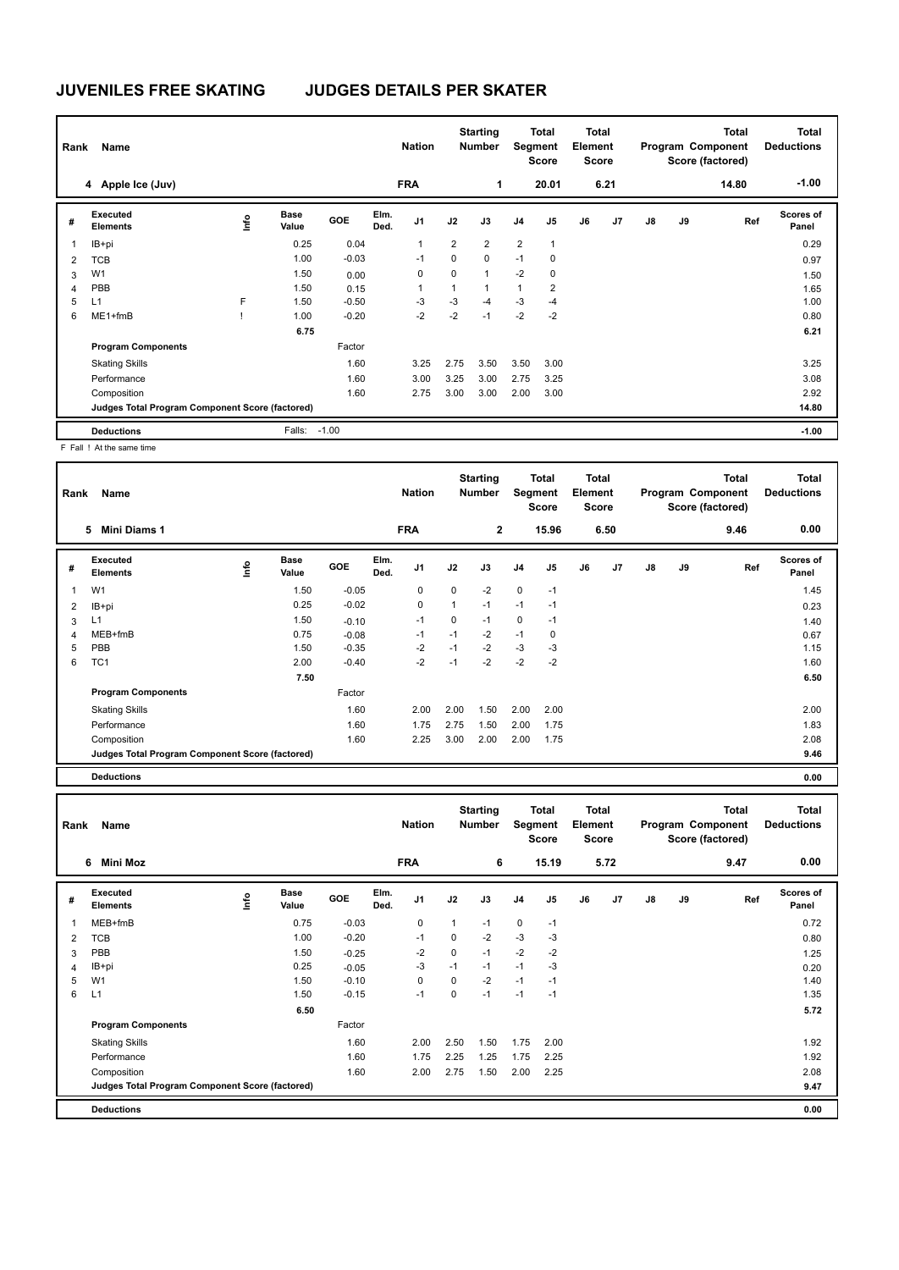# **JUVENILES FREE SKATING JUDGES DETAILS PER SKATER**

| Rank           | Name                                            |      |                      |            |              | <b>Nation</b>  |                | <b>Starting</b><br><b>Number</b> | Segment        | <b>Total</b><br><b>Score</b> | <b>Total</b><br>Element<br><b>Score</b> |      |               |    | <b>Total</b><br>Program Component<br>Score (factored) | <b>Total</b><br><b>Deductions</b> |
|----------------|-------------------------------------------------|------|----------------------|------------|--------------|----------------|----------------|----------------------------------|----------------|------------------------------|-----------------------------------------|------|---------------|----|-------------------------------------------------------|-----------------------------------|
|                | 4 Apple Ice (Juv)                               |      |                      |            |              | <b>FRA</b>     |                | 1                                |                | 20.01                        |                                         | 6.21 |               |    | 14.80                                                 | $-1.00$                           |
| #              | Executed<br><b>Elements</b>                     | lnfo | <b>Base</b><br>Value | <b>GOE</b> | Elm.<br>Ded. | J <sub>1</sub> | J2             | J3                               | J <sub>4</sub> | J <sub>5</sub>               | J6                                      | J7   | $\mathsf{J}8$ | J9 | Ref                                                   | <b>Scores of</b><br>Panel         |
| $\overline{1}$ | IB+pi                                           |      | 0.25                 | 0.04       |              | 1              | $\overline{2}$ | $\overline{2}$                   | $\overline{2}$ | $\overline{1}$               |                                         |      |               |    |                                                       | 0.29                              |
| $\overline{2}$ | <b>TCB</b>                                      |      | 1.00                 | $-0.03$    |              | $-1$           | 0              | $\mathbf 0$                      | $-1$           | 0                            |                                         |      |               |    |                                                       | 0.97                              |
| 3              | W <sub>1</sub>                                  |      | 1.50                 | 0.00       |              | 0              | 0              | $\mathbf{1}$                     | $-2$           | 0                            |                                         |      |               |    |                                                       | 1.50                              |
| $\overline{4}$ | PBB                                             |      | 1.50                 | 0.15       |              | 1              | 1              | $\mathbf{1}$                     | 1              | $\overline{2}$               |                                         |      |               |    |                                                       | 1.65                              |
| 5              | L1                                              | F    | 1.50                 | $-0.50$    |              | -3             | $-3$           | $-4$                             | $-3$           | -4                           |                                         |      |               |    |                                                       | 1.00                              |
| 6              | ME1+fmB                                         |      | 1.00                 | $-0.20$    |              | $-2$           | $-2$           | $-1$                             | $-2$           | $-2$                         |                                         |      |               |    |                                                       | 0.80                              |
|                |                                                 |      | 6.75                 |            |              |                |                |                                  |                |                              |                                         |      |               |    |                                                       | 6.21                              |
|                | <b>Program Components</b>                       |      |                      | Factor     |              |                |                |                                  |                |                              |                                         |      |               |    |                                                       |                                   |
|                | <b>Skating Skills</b>                           |      |                      | 1.60       |              | 3.25           | 2.75           | 3.50                             | 3.50           | 3.00                         |                                         |      |               |    |                                                       | 3.25                              |
|                | Performance                                     |      |                      | 1.60       |              | 3.00           | 3.25           | 3.00                             | 2.75           | 3.25                         |                                         |      |               |    |                                                       | 3.08                              |
|                | Composition                                     |      |                      | 1.60       |              | 2.75           | 3.00           | 3.00                             | 2.00           | 3.00                         |                                         |      |               |    |                                                       | 2.92                              |
|                | Judges Total Program Component Score (factored) |      |                      |            |              |                |                |                                  |                |                              |                                         |      |               |    |                                                       | 14.80                             |
|                | <b>Deductions</b>                               |      | Falls:               | $-1.00$    |              |                |                |                                  |                |                              |                                         |      |               |    |                                                       | $-1.00$                           |

F Fall ! At the same time

| Rank | Name                                            |      |                      |            |              | <b>Nation</b>  |      | <b>Starting</b><br><b>Number</b> |                | Total<br>Segment<br><b>Score</b> | Total<br>Element<br><b>Score</b> |      |    |    | <b>Total</b><br>Program Component<br>Score (factored) | <b>Total</b><br><b>Deductions</b> |
|------|-------------------------------------------------|------|----------------------|------------|--------------|----------------|------|----------------------------------|----------------|----------------------------------|----------------------------------|------|----|----|-------------------------------------------------------|-----------------------------------|
|      | Mini Diams 1<br>5                               |      |                      |            |              | <b>FRA</b>     |      | 2                                |                | 15.96                            |                                  | 6.50 |    |    | 9.46                                                  | 0.00                              |
| #    | Executed<br><b>Elements</b>                     | ١nf٥ | <b>Base</b><br>Value | <b>GOE</b> | Elm.<br>Ded. | J <sub>1</sub> | J2   | J3                               | J <sub>4</sub> | J <sub>5</sub>                   | J6                               | J7   | J8 | J9 | Ref                                                   | Scores of<br>Panel                |
|      | W <sub>1</sub>                                  |      | 1.50                 | $-0.05$    |              | 0              | 0    | $-2$                             | 0              | $-1$                             |                                  |      |    |    |                                                       | 1.45                              |
| 2    | IB+pi                                           |      | 0.25                 | $-0.02$    |              | 0              | 1    | $-1$                             | $-1$           | $-1$                             |                                  |      |    |    |                                                       | 0.23                              |
| 3    | L1                                              |      | 1.50                 | $-0.10$    |              | $-1$           | 0    | $-1$                             | $\mathbf 0$    | $-1$                             |                                  |      |    |    |                                                       | 1.40                              |
| 4    | MEB+fmB                                         |      | 0.75                 | $-0.08$    |              | $-1$           | $-1$ | $-2$                             | $-1$           | 0                                |                                  |      |    |    |                                                       | 0.67                              |
| 5    | <b>PBB</b>                                      |      | 1.50                 | $-0.35$    |              | $-2$           | $-1$ | $-2$                             | $-3$           | $-3$                             |                                  |      |    |    |                                                       | 1.15                              |
| 6    | TC <sub>1</sub>                                 |      | 2.00                 | $-0.40$    |              | $-2$           | $-1$ | $-2$                             | $-2$           | $-2$                             |                                  |      |    |    |                                                       | 1.60                              |
|      |                                                 |      | 7.50                 |            |              |                |      |                                  |                |                                  |                                  |      |    |    |                                                       | 6.50                              |
|      | <b>Program Components</b>                       |      |                      | Factor     |              |                |      |                                  |                |                                  |                                  |      |    |    |                                                       |                                   |
|      | <b>Skating Skills</b>                           |      |                      | 1.60       |              | 2.00           | 2.00 | 1.50                             | 2.00           | 2.00                             |                                  |      |    |    |                                                       | 2.00                              |
|      | Performance                                     |      |                      | 1.60       |              | 1.75           | 2.75 | 1.50                             | 2.00           | 1.75                             |                                  |      |    |    |                                                       | 1.83                              |
|      | Composition                                     |      |                      | 1.60       |              | 2.25           | 3.00 | 2.00                             | 2.00           | 1.75                             |                                  |      |    |    |                                                       | 2.08                              |
|      | Judges Total Program Component Score (factored) |      |                      |            |              |                |      |                                  |                |                                  |                                  |      |    |    |                                                       | 9.46                              |

**Deductions 0.00**

| Rank           | Name                                            |                         |                      |         |              | <b>Nation</b>  |      | <b>Starting</b><br><b>Number</b> | Segment        | <b>Total</b><br><b>Score</b> | <b>Total</b><br>Element<br><b>Score</b> |      |               |    | <b>Total</b><br>Program Component<br>Score (factored) | <b>Total</b><br><b>Deductions</b> |
|----------------|-------------------------------------------------|-------------------------|----------------------|---------|--------------|----------------|------|----------------------------------|----------------|------------------------------|-----------------------------------------|------|---------------|----|-------------------------------------------------------|-----------------------------------|
|                | Mini Moz<br>6                                   |                         |                      |         |              | <b>FRA</b>     |      | 6                                |                | 15.19                        |                                         | 5.72 |               |    | 9.47                                                  | 0.00                              |
| #              | Executed<br><b>Elements</b>                     | $\mathsf{f}^\mathsf{o}$ | <b>Base</b><br>Value | GOE     | Elm.<br>Ded. | J <sub>1</sub> | J2   | J3                               | J <sub>4</sub> | J <sub>5</sub>               | J6                                      | J7   | $\mathsf{J}8$ | J9 | Ref                                                   | Scores of<br>Panel                |
| $\overline{1}$ | MEB+fmB                                         |                         | 0.75                 | $-0.03$ |              | $\mathbf 0$    | 1    | $-1$                             | $\mathbf 0$    | $-1$                         |                                         |      |               |    |                                                       | 0.72                              |
| 2              | TCB                                             |                         | 1.00                 | $-0.20$ |              | $-1$           | 0    | $-2$                             | $-3$           | $-3$                         |                                         |      |               |    |                                                       | 0.80                              |
| 3              | PBB                                             |                         | 1.50                 | $-0.25$ |              | $-2$           | 0    | $-1$                             | $-2$           | $-2$                         |                                         |      |               |    |                                                       | 1.25                              |
| 4              | IB+pi                                           |                         | 0.25                 | $-0.05$ |              | $-3$           | $-1$ | $-1$                             | $-1$           | $-3$                         |                                         |      |               |    |                                                       | 0.20                              |
| 5              | W <sub>1</sub>                                  |                         | 1.50                 | $-0.10$ |              | $\mathbf 0$    | 0    | $-2$                             | $-1$           | $-1$                         |                                         |      |               |    |                                                       | 1.40                              |
| 6              | L1                                              |                         | 1.50                 | $-0.15$ |              | $-1$           | 0    | $-1$                             | $-1$           | $-1$                         |                                         |      |               |    |                                                       | 1.35                              |
|                |                                                 |                         | 6.50                 |         |              |                |      |                                  |                |                              |                                         |      |               |    |                                                       | 5.72                              |
|                | <b>Program Components</b>                       |                         |                      | Factor  |              |                |      |                                  |                |                              |                                         |      |               |    |                                                       |                                   |
|                | <b>Skating Skills</b>                           |                         |                      | 1.60    |              | 2.00           | 2.50 | 1.50                             | 1.75           | 2.00                         |                                         |      |               |    |                                                       | 1.92                              |
|                | Performance                                     |                         |                      | 1.60    |              | 1.75           | 2.25 | 1.25                             | 1.75           | 2.25                         |                                         |      |               |    |                                                       | 1.92                              |
|                | Composition                                     |                         |                      | 1.60    |              | 2.00           | 2.75 | 1.50                             | 2.00           | 2.25                         |                                         |      |               |    |                                                       | 2.08                              |
|                | Judges Total Program Component Score (factored) |                         |                      |         |              |                |      |                                  |                |                              |                                         |      |               |    |                                                       | 9.47                              |
|                | <b>Deductions</b>                               |                         |                      |         |              |                |      |                                  |                |                              |                                         |      |               |    |                                                       | 0.00                              |